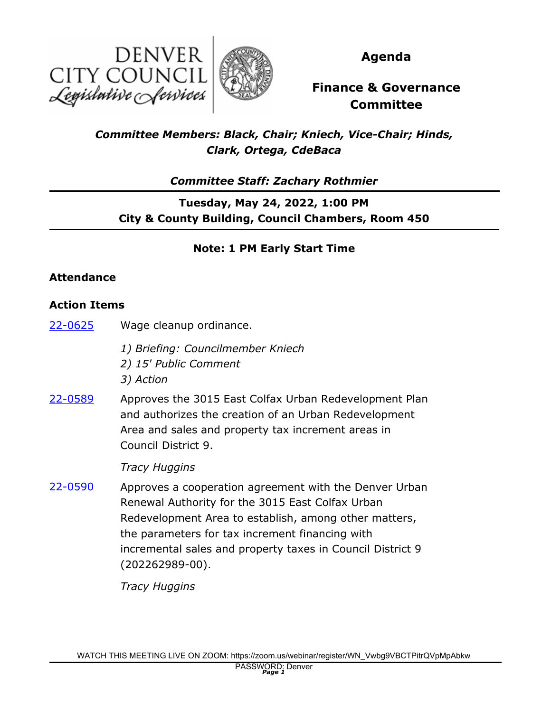



**Agenda**

# **Finance & Governance Committee**

## *Committee Members: Black, Chair; Kniech, Vice-Chair; Hinds, Clark, Ortega, CdeBaca*

*Committee Staff: Zachary Rothmier*

## **Tuesday, May 24, 2022, 1:00 PM City & County Building, Council Chambers, Room 450**

## **Note: 1 PM Early Start Time**

### **Attendance**

### **Action Items**

- [22-0625](http://denver.legistar.com/gateway.aspx?m=l&id=/matter.aspx?key=21692) Wage cleanup ordinance.
	- *1) Briefing: Councilmember Kniech*
	- *2) 15' Public Comment*
	- *3) Action*
- Approves the 3015 East Colfax Urban Redevelopment Plan and authorizes the creation of an Urban Redevelopment Area and sales and property tax increment areas in Council District 9. [22-0589](http://denver.legistar.com/gateway.aspx?m=l&id=/matter.aspx?key=21656)

*Tracy Huggins*

Approves a cooperation agreement with the Denver Urban Renewal Authority for the 3015 East Colfax Urban Redevelopment Area to establish, among other matters, the parameters for tax increment financing with incremental sales and property taxes in Council District 9 (202262989-00). [22-0590](http://denver.legistar.com/gateway.aspx?m=l&id=/matter.aspx?key=21657)

*Tracy Huggins*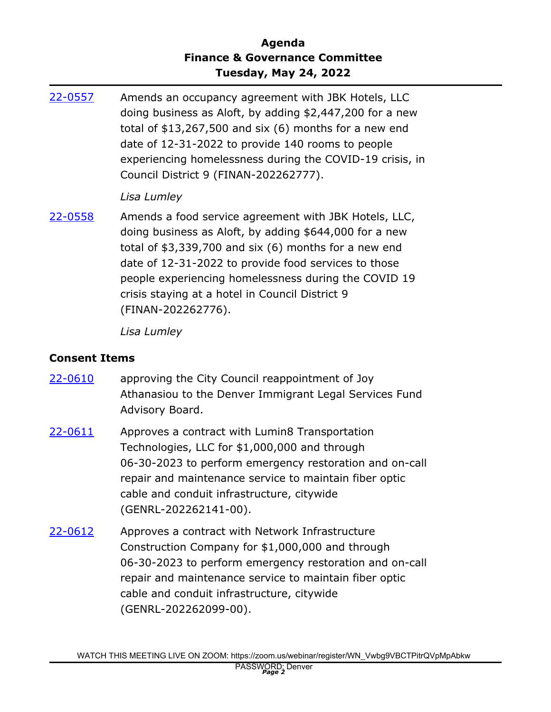### **Agenda Finance & Governance Committee Tuesday, May 24, 2022**

Amends an occupancy agreement with JBK Hotels, LLC doing business as Aloft, by adding \$2,447,200 for a new total of \$13,267,500 and six (6) months for a new end date of 12-31-2022 to provide 140 rooms to people experiencing homelessness during the COVID-19 crisis, in Council District 9 (FINAN-202262777). [22-0557](http://denver.legistar.com/gateway.aspx?m=l&id=/matter.aspx?key=21624)

#### *Lisa Lumley*

Amends a food service agreement with JBK Hotels, LLC, doing business as Aloft, by adding \$644,000 for a new total of \$3,339,700 and six (6) months for a new end date of 12-31-2022 to provide food services to those people experiencing homelessness during the COVID 19 crisis staying at a hotel in Council District 9 (FINAN-202262776). [22-0558](http://denver.legistar.com/gateway.aspx?m=l&id=/matter.aspx?key=21625)

*Lisa Lumley*

#### **Consent Items**

- approving the City Council reappointment of Joy Athanasiou to the Denver Immigrant Legal Services Fund Advisory Board. [22-0610](http://denver.legistar.com/gateway.aspx?m=l&id=/matter.aspx?key=21677)
- Approves a contract with Lumin8 Transportation Technologies, LLC for \$1,000,000 and through 06-30-2023 to perform emergency restoration and on-call repair and maintenance service to maintain fiber optic cable and conduit infrastructure, citywide (GENRL-202262141-00). [22-0611](http://denver.legistar.com/gateway.aspx?m=l&id=/matter.aspx?key=21678)
- Approves a contract with Network Infrastructure Construction Company for \$1,000,000 and through 06-30-2023 to perform emergency restoration and on-call repair and maintenance service to maintain fiber optic cable and conduit infrastructure, citywide (GENRL-202262099-00). [22-0612](http://denver.legistar.com/gateway.aspx?m=l&id=/matter.aspx?key=21679)